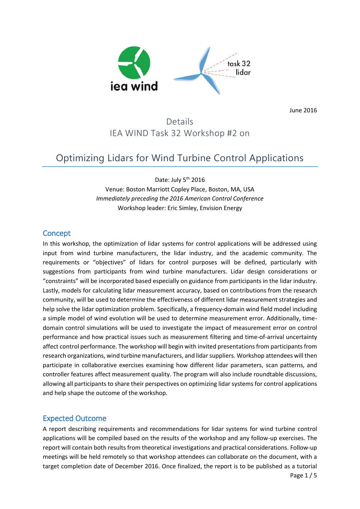

June 2016

## Details IEA WIND Task 32 Workshop #2 on

# Optimizing Lidars for Wind Turbine Control Applications

Date: July 5<sup>th</sup> 2016 Venue: Boston Marriott Copley Place, Boston, MA, USA *Immediately preceding the 2016 American Control Conference* Workshop leader: Eric Simley, Envision Energy

### **Concept**

In this workshop, the optimization of lidar systems for control applications will be addressed using input from wind turbine manufacturers, the lidar industry, and the academic community. The requirements or "objectives" of lidars for control purposes will be defined, particularly with suggestions from participants from wind turbine manufacturers. Lidar design considerations or "constraints" will be incorporated based especially on guidance from participants in the lidar industry. Lastly, models for calculating lidar measurement accuracy, based on contributions from the research community, will be used to determine the effectiveness of different lidar measurement strategies and help solve the lidar optimization problem. Specifically, a frequency-domain wind field model including a simple model of wind evolution will be used to determine measurement error. Additionally, timedomain control simulations will be used to investigate the impact of measurement error on control performance and how practical issues such as measurement filtering and time-of-arrival uncertainty affect control performance. The workshop will begin with invited presentations from participants from research organizations, wind turbine manufacturers, and lidar suppliers. Workshop attendees will then participate in collaborative exercises examining how different lidar parameters, scan patterns, and controller features affect measurement quality. The program will also include roundtable discussions, allowing all participants to share their perspectives on optimizing lidar systems for control applications and help shape the outcome of the workshop.

### Expected Outcome

A report describing requirements and recommendations for lidar systems for wind turbine control applications will be compiled based on the results of the workshop and any follow-up exercises. The report will contain both results from theoretical investigations and practical considerations. Follow-up meetings will be held remotely so that workshop attendees can collaborate on the document, with a target completion date of December 2016. Once finalized, the report is to be published as a tutorial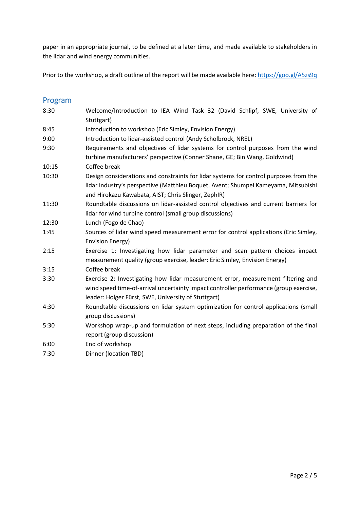paper in an appropriate journal, to be defined at a later time, and made available to stakeholders in the lidar and wind energy communities.

Prior to the workshop, a draft outline of the report will be made available here:<https://goo.gl/A5zs9q>

## Program

| 8:30  | Welcome/Introduction to IEA Wind Task 32 (David Schlipf, SWE, University of<br>Stuttgart)                                                                                                                                          |  |  |
|-------|------------------------------------------------------------------------------------------------------------------------------------------------------------------------------------------------------------------------------------|--|--|
| 8:45  | Introduction to workshop (Eric Simley, Envision Energy)                                                                                                                                                                            |  |  |
| 9:00  | Introduction to lidar-assisted control (Andy Scholbrock, NREL)                                                                                                                                                                     |  |  |
| 9:30  | Requirements and objectives of lidar systems for control purposes from the wind<br>turbine manufacturers' perspective (Conner Shane, GE; Bin Wang, Goldwind)                                                                       |  |  |
| 10:15 | Coffee break                                                                                                                                                                                                                       |  |  |
| 10:30 | Design considerations and constraints for lidar systems for control purposes from the<br>lidar industry's perspective (Matthieu Boquet, Avent; Shumpei Kameyama, Mitsubishi<br>and Hirokazu Kawabata, AIST; Chris Slinger, ZephIR) |  |  |
| 11:30 | Roundtable discussions on lidar-assisted control objectives and current barriers for<br>lidar for wind turbine control (small group discussions)                                                                                   |  |  |
| 12:30 | Lunch (Fogo de Chao)                                                                                                                                                                                                               |  |  |
| 1:45  | Sources of lidar wind speed measurement error for control applications (Eric Simley,<br><b>Envision Energy)</b>                                                                                                                    |  |  |
| 2:15  | Exercise 1: Investigating how lidar parameter and scan pattern choices impact<br>measurement quality (group exercise, leader: Eric Simley, Envision Energy)                                                                        |  |  |
| 3:15  | Coffee break                                                                                                                                                                                                                       |  |  |
| 3:30  | Exercise 2: Investigating how lidar measurement error, measurement filtering and<br>wind speed time-of-arrival uncertainty impact controller performance (group exercise,<br>leader: Holger Fürst, SWE, University of Stuttgart)   |  |  |
| 4:30  | Roundtable discussions on lidar system optimization for control applications (small<br>group discussions)                                                                                                                          |  |  |
| 5:30  | Workshop wrap-up and formulation of next steps, including preparation of the final<br>report (group discussion)                                                                                                                    |  |  |
| 6:00  | End of workshop                                                                                                                                                                                                                    |  |  |
| 7:30  | Dinner (location TBD)                                                                                                                                                                                                              |  |  |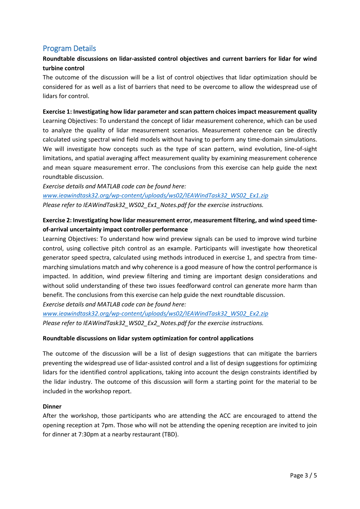## Program Details

### **Roundtable discussions on lidar-assisted control objectives and current barriers for lidar for wind turbine control**

The outcome of the discussion will be a list of control objectives that lidar optimization should be considered for as well as a list of barriers that need to be overcome to allow the widespread use of lidars for control.

#### **Exercise 1: Investigating how lidar parameter and scan pattern choices impact measurement quality**

Learning Objectives: To understand the concept of lidar measurement coherence, which can be used to analyze the quality of lidar measurement scenarios. Measurement coherence can be directly calculated using spectral wind field models without having to perform any time-domain simulations. We will investigate how concepts such as the type of scan pattern, wind evolution, line-of-sight limitations, and spatial averaging affect measurement quality by examining measurement coherence and mean square measurement error. The conclusions from this exercise can help guide the next roundtable discussion.

*Exercise details and MATLAB code can be found here: [www.ieawindtask32.org/wp-content/uploads/ws02/IEAWindTask32\\_WS02\\_Ex1.zip](http://www.ieawindtask32.org/wp-content/uploads/ws02/IEAWindTask32_WS02_Ex1.zip) Please refer to IEAWindTask32\_WS02\_Ex1\_Notes.pdf for the exercise instructions.*

#### **Exercise 2: Investigating how lidar measurement error, measurement filtering, and wind speed timeof-arrival uncertainty impact controller performance**

Learning Objectives: To understand how wind preview signals can be used to improve wind turbine control, using collective pitch control as an example. Participants will investigate how theoretical generator speed spectra, calculated using methods introduced in exercise 1, and spectra from timemarching simulations match and why coherence is a good measure of how the control performance is impacted. In addition, wind preview filtering and timing are important design considerations and without solid understanding of these two issues feedforward control can generate more harm than benefit. The conclusions from this exercise can help guide the next roundtable discussion. *Exercise details and MATLAB code can be found here:*

*[www.ieawindtask32.org/wp-content/uploads/ws02/IEAWindTask32\\_WS02\\_Ex2.zip](http://www.ieawindtask32.org/wp-content/uploads/ws02/IEAWindTask32_WS02_Ex2.zip) Please refer to IEAWindTask32\_WS02\_Ex2\_Notes.pdf for the exercise instructions.*

#### **Roundtable discussions on lidar system optimization for control applications**

The outcome of the discussion will be a list of design suggestions that can mitigate the barriers preventing the widespread use of lidar-assisted control and a list of design suggestions for optimizing lidars for the identified control applications, taking into account the design constraints identified by the lidar industry. The outcome of this discussion will form a starting point for the material to be included in the workshop report.

#### **Dinner**

After the workshop, those participants who are attending the ACC are encouraged to attend the opening reception at 7pm. Those who will not be attending the opening reception are invited to join for dinner at 7:30pm at a nearby restaurant (TBD).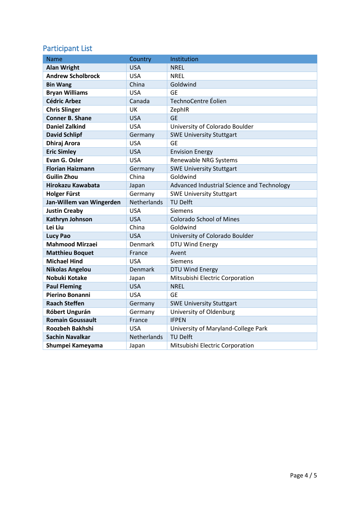## Participant List

| Name                     | Country            | Institution                                |
|--------------------------|--------------------|--------------------------------------------|
| <b>Alan Wright</b>       | <b>USA</b>         | <b>NREL</b>                                |
| <b>Andrew Scholbrock</b> | <b>USA</b>         | <b>NREL</b>                                |
| <b>Bin Wang</b>          | China              | Goldwind                                   |
| <b>Bryan Williams</b>    | <b>USA</b>         | <b>GE</b>                                  |
| <b>Cédric Arbez</b>      | Canada             | TechnoCentre Éolien                        |
| <b>Chris Slinger</b>     | UK                 | ZephIR                                     |
| <b>Conner B. Shane</b>   | <b>USA</b>         | <b>GE</b>                                  |
| <b>Daniel Zalkind</b>    | <b>USA</b>         | University of Colorado Boulder             |
| <b>David Schlipf</b>     | Germany            | <b>SWE University Stuttgart</b>            |
| <b>Dhiraj Arora</b>      | <b>USA</b>         | <b>GE</b>                                  |
| <b>Eric Simley</b>       | <b>USA</b>         | <b>Envision Energy</b>                     |
| Evan G. Osler            | <b>USA</b>         | Renewable NRG Systems                      |
| <b>Florian Haizmann</b>  | Germany            | <b>SWE University Stuttgart</b>            |
| <b>Guilin Zhou</b>       | China              | Goldwind                                   |
| <b>Hirokazu Kawabata</b> | Japan              | Advanced Industrial Science and Technology |
| <b>Holger Fürst</b>      | Germany            | <b>SWE University Stuttgart</b>            |
| Jan-Willem van Wingerden | <b>Netherlands</b> | <b>TU Delft</b>                            |
| <b>Justin Creaby</b>     | <b>USA</b>         | Siemens                                    |
| Kathryn Johnson          | <b>USA</b>         | <b>Colorado School of Mines</b>            |
| Lei Liu                  | China              | Goldwind                                   |
| <b>Lucy Pao</b>          | <b>USA</b>         | University of Colorado Boulder             |
| <b>Mahmood Mirzaei</b>   | <b>Denmark</b>     | DTU Wind Energy                            |
| <b>Matthieu Boquet</b>   | France             | Avent                                      |
| <b>Michael Hind</b>      | USA                | <b>Siemens</b>                             |
| <b>Nikolas Angelou</b>   | <b>Denmark</b>     | DTU Wind Energy                            |
| Nobuki Kotake            | Japan              | Mitsubishi Electric Corporation            |
| <b>Paul Fleming</b>      | <b>USA</b>         | <b>NREL</b>                                |
| Pierino Bonanni          | <b>USA</b>         | <b>GE</b>                                  |
| <b>Raach Steffen</b>     | Germany            | <b>SWE University Stuttgart</b>            |
| Róbert Ungurán           | Germany            | University of Oldenburg                    |
| <b>Romain Goussault</b>  | France             | <b>IFPEN</b>                               |
| <b>Roozbeh Bakhshi</b>   | USA                | University of Maryland-College Park        |
| <b>Sachin Navalkar</b>   | Netherlands        | <b>TU Delft</b>                            |
| Shumpei Kameyama         | Japan              | Mitsubishi Electric Corporation            |